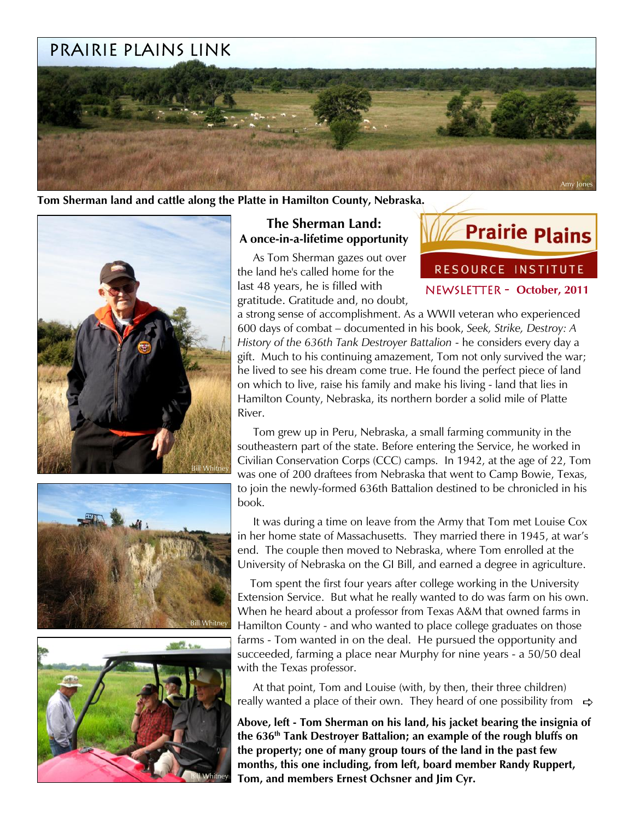# Prairie plains Link



**Tom Sherman land and cattle along the Platte in Hamilton County, Nebraska.**







# **The Sherman Land: A once-in-a-lifetime opportunity**

 As Tom Sherman gazes out over the land he's called home for the last 48 years, he is filled with gratitude. Gratitude and, no doubt,



a strong sense of accomplishment. As a WWII veteran who experienced 600 days of combat – documented in his book, *Seek, Strike, Destroy: A History of the 636th Tank Destroyer Battalion* - he considers every day a gift. Much to his continuing amazement, Tom not only survived the war; he lived to see his dream come true. He found the perfect piece of land on which to live, raise his family and make his living - land that lies in Hamilton County, Nebraska, its northern border a solid mile of Platte River.

 Tom grew up in Peru, Nebraska, a small farming community in the southeastern part of the state. Before entering the Service, he worked in Civilian Conservation Corps (CCC) camps. In 1942, at the age of 22, Tom was one of 200 draftees from Nebraska that went to Camp Bowie, Texas, to join the newly-formed 636th Battalion destined to be chronicled in his book.

 It was during a time on leave from the Army that Tom met Louise Cox in her home state of Massachusetts. They married there in 1945, at war's end. The couple then moved to Nebraska, where Tom enrolled at the University of Nebraska on the GI Bill, and earned a degree in agriculture.

 Tom spent the first four years after college working in the University Extension Service. But what he really wanted to do was farm on his own. When he heard about a professor from Texas A&M that owned farms in Hamilton County - and who wanted to place college graduates on those farms - Tom wanted in on the deal. He pursued the opportunity and succeeded, farming a place near Murphy for nine years - a 50/50 deal with the Texas professor.

 At that point, Tom and Louise (with, by then, their three children) really wanted a place of their own. They heard of one possibility from  $\Rightarrow$ 

**Above, left - Tom Sherman on his land, his jacket bearing the insignia of the 636th Tank Destroyer Battalion; an example of the rough bluffs on the property; one of many group tours of the land in the past few months, this one including, from left, board member Randy Ruppert, Tom, and members Ernest Ochsner and Jim Cyr.**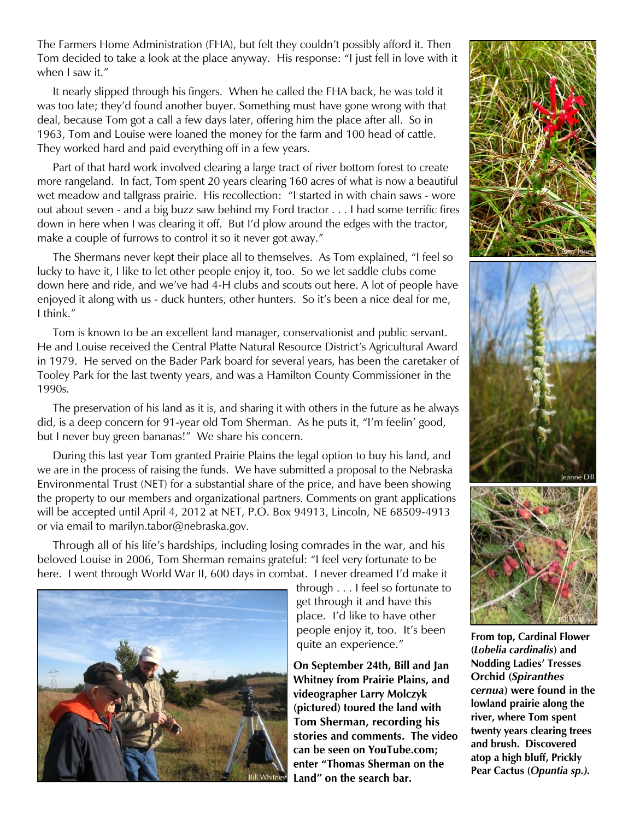The Farmers Home Administration (FHA), but felt they couldn't possibly afford it. Then Tom decided to take a look at the place anyway. His response: "I just fell in love with it when I saw it."

 It nearly slipped through his fingers. When he called the FHA back, he was told it was too late; they'd found another buyer. Something must have gone wrong with that deal, because Tom got a call a few days later, offering him the place after all. So in 1963, Tom and Louise were loaned the money for the farm and 100 head of cattle. They worked hard and paid everything off in a few years.

 Part of that hard work involved clearing a large tract of river bottom forest to create more rangeland. In fact, Tom spent 20 years clearing 160 acres of what is now a beautiful wet meadow and tallgrass prairie. His recollection: "I started in with chain saws - wore out about seven - and a big buzz saw behind my Ford tractor . . . I had some terrific fires down in here when I was clearing it off. But I'd plow around the edges with the tractor, make a couple of furrows to control it so it never got away."

 The Shermans never kept their place all to themselves. As Tom explained, "I feel so lucky to have it, I like to let other people enjoy it, too. So we let saddle clubs come down here and ride, and we've had 4-H clubs and scouts out here. A lot of people have enjoyed it along with us - duck hunters, other hunters. So it's been a nice deal for me, I think."

 Tom is known to be an excellent land manager, conservationist and public servant. He and Louise received the Central Platte Natural Resource District's Agricultural Award in 1979. He served on the Bader Park board for several years, has been the caretaker of Tooley Park for the last twenty years, and was a Hamilton County Commissioner in the 1990s.

 The preservation of his land as it is, and sharing it with others in the future as he always did, is a deep concern for 91-year old Tom Sherman. As he puts it, "I'm feelin' good, but I never buy green bananas!" We share his concern.

 During this last year Tom granted Prairie Plains the legal option to buy his land, and we are in the process of raising the funds. We have submitted a proposal to the Nebraska Environmental Trust (NET) for a substantial share of the price, and have been showing the property to our members and organizational partners. Comments on grant applications will be accepted until April 4, 2012 at NET, P.O. Box 94913, Lincoln, NE 68509-4913 or via email to marilyn.tabor@nebraska.gov.

 Through all of his life's hardships, including losing comrades in the war, and his beloved Louise in 2006, Tom Sherman remains grateful: "I feel very fortunate to be here. I went through World War II, 600 days in combat. I never dreamed I'd make it



through . . . I feel so fortunate to get through it and have this place. I'd like to have other people enjoy it, too. It's been quite an experience."

**On September 24th, Bill and Jan Whitney from Prairie Plains, and videographer Larry Molczyk (pictured) toured the land with Tom Sherman, recording his stories and comments. The video can be seen on YouTube.com; enter "Thomas Sherman on the**  Land" on the search bar.





**From top, Cardinal Flower (***Lobelia cardinalis***) and Nodding Ladies' Tresses Orchid (***Spiranthes cernua***) were found in the lowland prairie along the river, where Tom spent twenty years clearing trees and brush. Discovered atop a high bluff, Prickly Pear Cactus (***Opuntia sp.).*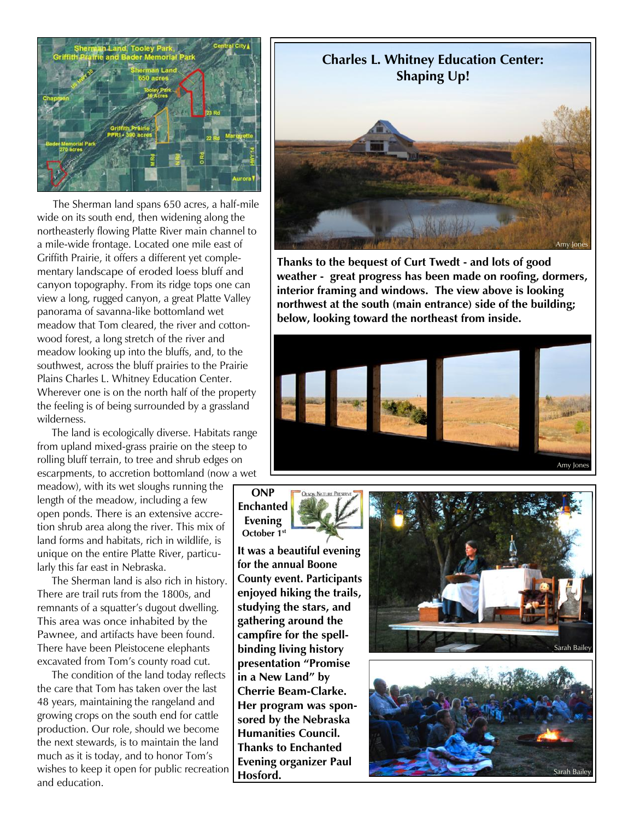

 The Sherman land spans 650 acres, a half-mile wide on its south end, then widening along the northeasterly flowing Platte River main channel to a mile-wide frontage. Located one mile east of Griffith Prairie, it offers a different yet complementary landscape of eroded loess bluff and canyon topography. From its ridge tops one can view a long, rugged canyon, a great Platte Valley panorama of savanna-like bottomland wet meadow that Tom cleared, the river and cottonwood forest, a long stretch of the river and meadow looking up into the bluffs, and, to the southwest, across the bluff prairies to the Prairie Plains Charles L. Whitney Education Center. Wherever one is on the north half of the property the feeling is of being surrounded by a grassland wilderness.

 The land is ecologically diverse. Habitats range from upland mixed-grass prairie on the steep to rolling bluff terrain, to tree and shrub edges on escarpments, to accretion bottomland (now a wet

meadow), with its wet sloughs running the length of the meadow, including a few open ponds. There is an extensive accretion shrub area along the river. This mix of land forms and habitats, rich in wildlife, is unique on the entire Platte River, particularly this far east in Nebraska.

 The Sherman land is also rich in history. There are trail ruts from the 1800s, and remnants of a squatter's dugout dwelling. This area was once inhabited by the Pawnee, and artifacts have been found. There have been Pleistocene elephants excavated from Tom's county road cut.

 The condition of the land today reflects the care that Tom has taken over the last 48 years, maintaining the rangeland and growing crops on the south end for cattle production. Our role, should we become the next stewards, is to maintain the land much as it is today, and to honor Tom's wishes to keep it open for public recreation and education.



**Thanks to the bequest of Curt Twedt - and lots of good weather - great progress has been made on roofing, dormers, interior framing and windows. The view above is looking northwest at the south (main entrance) side of the building; below, looking toward the northeast from inside.**



#### **ONP Enchanted Evening October 1st**

**It was a beautiful evening for the annual Boone County event. Participants enjoyed hiking the trails, studying the stars, and gathering around the campfire for the spellbinding living history presentation "Promise in a New Land" by Cherrie Beam-Clarke. Her program was sponsored by the Nebraska Humanities Council. Thanks to Enchanted Evening organizer Paul Hosford.**